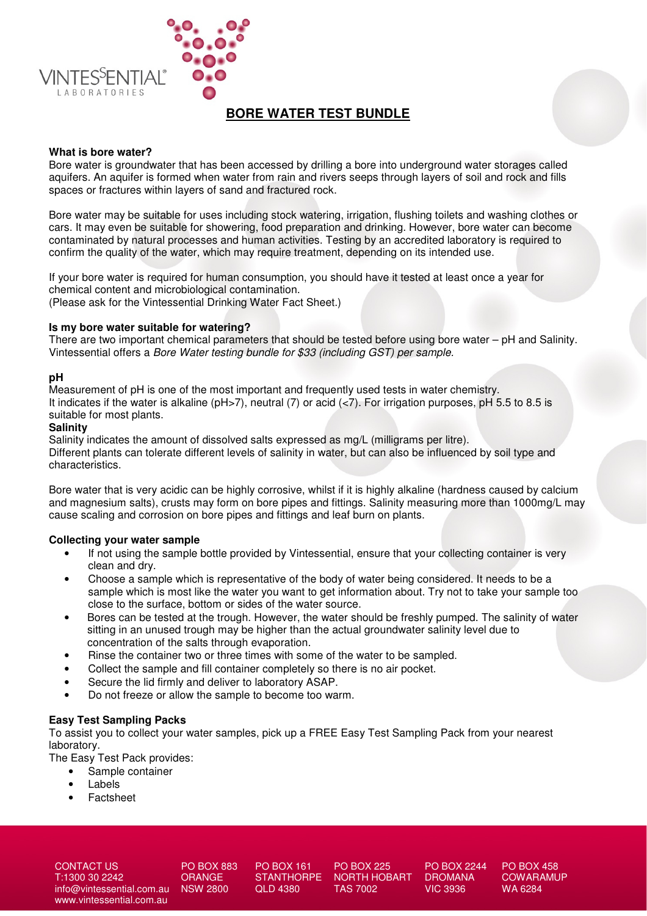

# **BORE WATER TEST BUNDLE**

#### **What is bore water?**

Bore water is groundwater that has been accessed by drilling a bore into underground water storages called aquifers. An aquifer is formed when water from rain and rivers seeps through layers of soil and rock and fills spaces or fractures within layers of sand and fractured rock.

Bore water may be suitable for uses including stock watering, irrigation, flushing toilets and washing clothes or cars. It may even be suitable for showering, food preparation and drinking. However, bore water can become contaminated by natural processes and human activities. Testing by an accredited laboratory is required to confirm the quality of the water, which may require treatment, depending on its intended use.

If your bore water is required for human consumption, you should have it tested at least once a year for chemical content and microbiological contamination. (Please ask for the Vintessential Drinking Water Fact Sheet.)

**Is my bore water suitable for watering?** 

There are two important chemical parameters that should be tested before using bore water – pH and Salinity. Vintessential offers a Bore Water testing bundle for \$33 (including GST) per sample.

#### **pH**

Measurement of pH is one of the most important and frequently used tests in water chemistry. It indicates if the water is alkaline ( $pH>7$ ), neutral (7) or acid ( $\lt 7$ ). For irrigation purposes,  $pH 5.5$  to 8.5 is suitable for most plants.

#### **Salinity**

Salinity indicates the amount of dissolved salts expressed as mg/L (milligrams per litre). Different plants can tolerate different levels of salinity in water, but can also be influenced by soil type and characteristics.

Bore water that is very acidic can be highly corrosive, whilst if it is highly alkaline (hardness caused by calcium and magnesium salts), crusts may form on bore pipes and fittings. Salinity measuring more than 1000mg/L may cause scaling and corrosion on bore pipes and fittings and leaf burn on plants.

#### **Collecting your water sample**

- If not using the sample bottle provided by Vintessential, ensure that your collecting container is very clean and dry.
- Choose a sample which is representative of the body of water being considered. It needs to be a sample which is most like the water you want to get information about. Try not to take your sample too close to the surface, bottom or sides of the water source.
- Bores can be tested at the trough. However, the water should be freshly pumped. The salinity of water sitting in an unused trough may be higher than the actual groundwater salinity level due to concentration of the salts through evaporation.
- Rinse the container two or three times with some of the water to be sampled.
- Collect the sample and fill container completely so there is no air pocket.
- Secure the lid firmly and deliver to laboratory ASAP.
- Do not freeze or allow the sample to become too warm.

#### **Easy Test Sampling Packs**

To assist you to collect your water samples, pick up a FREE Easy Test Sampling Pack from your nearest laboratory.

The Easy Test Pack provides:

- Sample container
- **Labels**
- **Factsheet**

CONTACT US T:1300 30 2242 info@vintessential.com.au www.vintessential.com.au

PO BOX 883 ORANGE NSW 2800

PO BOX 161 **STANTHORPF** QLD 4380

PO BOX 225 NORTH HOBART TAS 7002

PO BOX 2244 DROMANA VIC 3936

PO BOX 458 **COWARAMUP** WA 6284